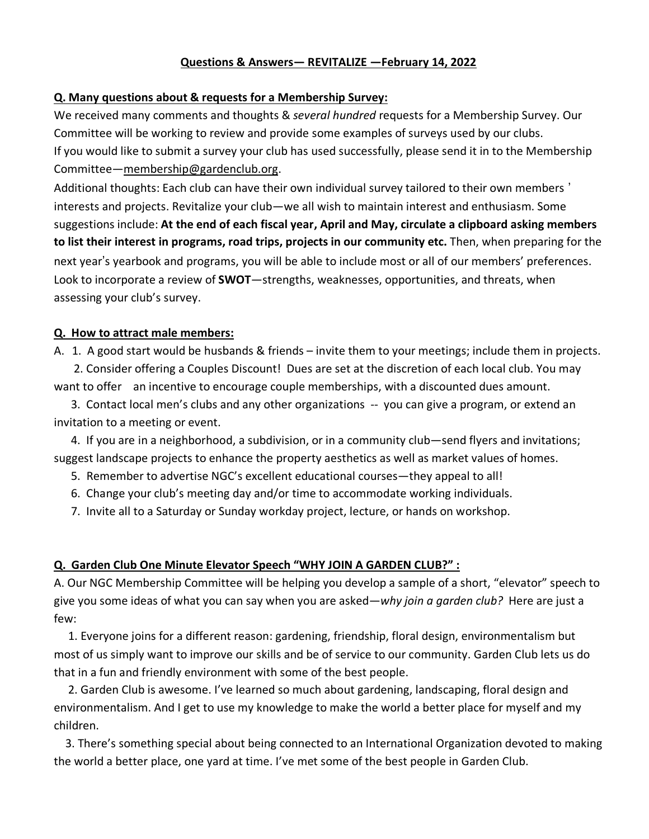#### **Questions & Answers— REVITALIZE —February 14, 2022**

#### **Q. Many questions about & requests for a Membership Survey:**

We received many comments and thoughts & *several hundred* requests for a Membership Survey. Our Committee will be working to review and provide some examples of surveys used by our clubs. If you would like to submit a survey your club has used successfully, please send it in to the Membership Committee—membership@gardenclub.org.

Additional thoughts: Each club can have their own individual survey tailored to their own members ' interests and projects. Revitalize your club—we all wish to maintain interest and enthusiasm. Some suggestions include: **At the end of each fiscal year, April and May, circulate a clipboard asking members to list their interest in programs, road trips, projects in our community etc.** Then, when preparing for the next year's yearbook and programs, you will be able to include most or all of our members' preferences. Look to incorporate a review of **SWOT**—strengths, weaknesses, opportunities, and threats, when assessing your club's survey.

#### **Q. How to attract male members:**

A. 1. A good start would be husbands & friends – invite them to your meetings; include them in projects.

 2. Consider offering a Couples Discount! Dues are set at the discretion of each local club. You may want to offer an incentive to encourage couple memberships, with a discounted dues amount.

 3. Contact local men's clubs and any other organizations -- you can give a program, or extend an invitation to a meeting or event.

 4. If you are in a neighborhood, a subdivision, or in a community club—send flyers and invitations; suggest landscape projects to enhance the property aesthetics as well as market values of homes.

- 5. Remember to advertise NGC's excellent educational courses—they appeal to all!
- 6. Change your club's meeting day and/or time to accommodate working individuals.
- 7. Invite all to a Saturday or Sunday workday project, lecture, or hands on workshop.

#### **Q. Garden Club One Minute Elevator Speech "WHY JOIN A GARDEN CLUB?" :**

A. Our NGC Membership Committee will be helping you develop a sample of a short, "elevator" speech to give you some ideas of what you can say when you are asked—*why join a garden club?* Here are just a few:

 1. Everyone joins for a different reason: gardening, friendship, floral design, environmentalism but most of us simply want to improve our skills and be of service to our community. Garden Club lets us do that in a fun and friendly environment with some of the best people.

 2. Garden Club is awesome. I've learned so much about gardening, landscaping, floral design and environmentalism. And I get to use my knowledge to make the world a better place for myself and my children.

 3. There's something special about being connected to an International Organization devoted to making the world a better place, one yard at time. I've met some of the best people in Garden Club.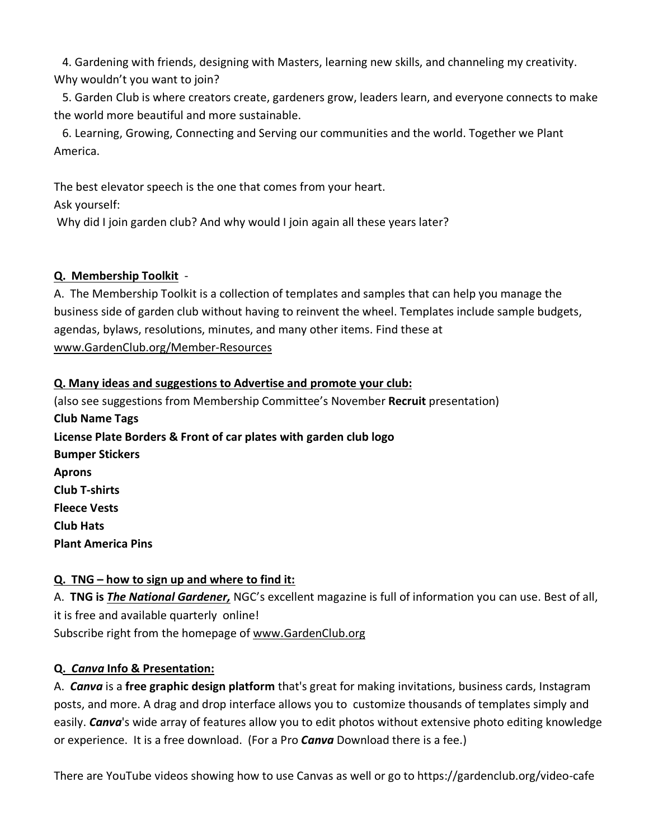4. Gardening with friends, designing with Masters, learning new skills, and channeling my creativity. Why wouldn't you want to join?

 5. Garden Club is where creators create, gardeners grow, leaders learn, and everyone connects to make the world more beautiful and more sustainable.

 6. Learning, Growing, Connecting and Serving our communities and the world. Together we Plant America.

The best elevator speech is the one that comes from your heart.

Ask yourself:

Why did I join garden club? And why would I join again all these years later?

# **Q. Membership Toolkit** -

A. The Membership Toolkit is a collection of templates and samples that can help you manage the business side of garden club without having to reinvent the wheel. Templates include sample budgets, agendas, bylaws, resolutions, minutes, and many other items. Find these at www.GardenClub.org/Member-Resources

### **Q. Many ideas and suggestions to Advertise and promote your club:**

(also see suggestions from Membership Committee's November **Recruit** presentation) **Club Name Tags License Plate Borders & Front of car plates with garden club logo Bumper Stickers Aprons Club T-shirts Fleece Vests Club Hats Plant America Pins**

# **Q. TNG – how to sign up and where to find it:**

A. **TNG is** *The National Gardener,* NGC's excellent magazine is full of information you can use. Best of all, it is free and available quarterly online! Subscribe right from the homepage of www.GardenClub.org

# **Q.** *Canva* **Info & Presentation:**

A. *Canva* is a **free graphic design platform** that's great for making invitations, business cards, Instagram posts, and more. A drag and drop interface allows you to customize thousands of templates simply and easily. *Canva*'s wide array of features allow you to edit photos without extensive photo editing knowledge or experience. It is a free download. (For a Pro *Canva* Download there is a fee.)

There are YouTube videos showing how to use Canvas as well or go to https://gardenclub.org/video-cafe